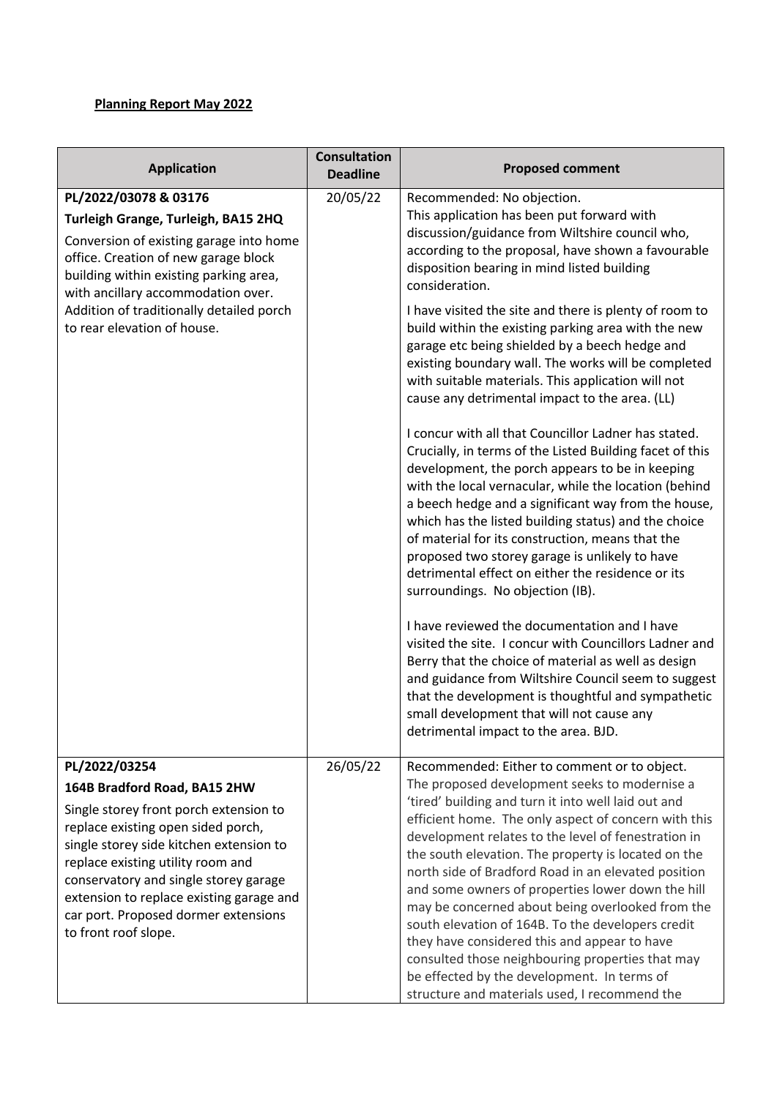## **Planning Report May 2022**

| <b>Application</b>                                                                                                                                                                                                                                                                                                                                                 | <b>Consultation</b><br><b>Deadline</b> | <b>Proposed comment</b>                                                                                                                                                                                                                                                                                                                                                                                                                                                                                                                                                                                                                                                                                                                                                                                                                                                                                                                                                                                                                                                                                                                                                                                                                                                                                                                                                                                                                                                                               |
|--------------------------------------------------------------------------------------------------------------------------------------------------------------------------------------------------------------------------------------------------------------------------------------------------------------------------------------------------------------------|----------------------------------------|-------------------------------------------------------------------------------------------------------------------------------------------------------------------------------------------------------------------------------------------------------------------------------------------------------------------------------------------------------------------------------------------------------------------------------------------------------------------------------------------------------------------------------------------------------------------------------------------------------------------------------------------------------------------------------------------------------------------------------------------------------------------------------------------------------------------------------------------------------------------------------------------------------------------------------------------------------------------------------------------------------------------------------------------------------------------------------------------------------------------------------------------------------------------------------------------------------------------------------------------------------------------------------------------------------------------------------------------------------------------------------------------------------------------------------------------------------------------------------------------------------|
| PL/2022/03078 & 03176<br>Turleigh Grange, Turleigh, BA15 2HQ<br>Conversion of existing garage into home<br>office. Creation of new garage block<br>building within existing parking area,<br>with ancillary accommodation over.<br>Addition of traditionally detailed porch<br>to rear elevation of house.                                                         | 20/05/22                               | Recommended: No objection.<br>This application has been put forward with<br>discussion/guidance from Wiltshire council who,<br>according to the proposal, have shown a favourable<br>disposition bearing in mind listed building<br>consideration.<br>I have visited the site and there is plenty of room to<br>build within the existing parking area with the new<br>garage etc being shielded by a beech hedge and<br>existing boundary wall. The works will be completed<br>with suitable materials. This application will not<br>cause any detrimental impact to the area. (LL)<br>I concur with all that Councillor Ladner has stated.<br>Crucially, in terms of the Listed Building facet of this<br>development, the porch appears to be in keeping<br>with the local vernacular, while the location (behind<br>a beech hedge and a significant way from the house,<br>which has the listed building status) and the choice<br>of material for its construction, means that the<br>proposed two storey garage is unlikely to have<br>detrimental effect on either the residence or its<br>surroundings. No objection (IB).<br>I have reviewed the documentation and I have<br>visited the site. I concur with Councillors Ladner and<br>Berry that the choice of material as well as design<br>and guidance from Wiltshire Council seem to suggest<br>that the development is thoughtful and sympathetic<br>small development that will not cause any<br>detrimental impact to the area. BJD. |
| PL/2022/03254<br>164B Bradford Road, BA15 2HW<br>Single storey front porch extension to<br>replace existing open sided porch,<br>single storey side kitchen extension to<br>replace existing utility room and<br>conservatory and single storey garage<br>extension to replace existing garage and<br>car port. Proposed dormer extensions<br>to front roof slope. | 26/05/22                               | Recommended: Either to comment or to object.<br>The proposed development seeks to modernise a<br>'tired' building and turn it into well laid out and<br>efficient home. The only aspect of concern with this<br>development relates to the level of fenestration in<br>the south elevation. The property is located on the<br>north side of Bradford Road in an elevated position<br>and some owners of properties lower down the hill<br>may be concerned about being overlooked from the<br>south elevation of 164B. To the developers credit<br>they have considered this and appear to have<br>consulted those neighbouring properties that may<br>be effected by the development. In terms of<br>structure and materials used, I recommend the                                                                                                                                                                                                                                                                                                                                                                                                                                                                                                                                                                                                                                                                                                                                                   |